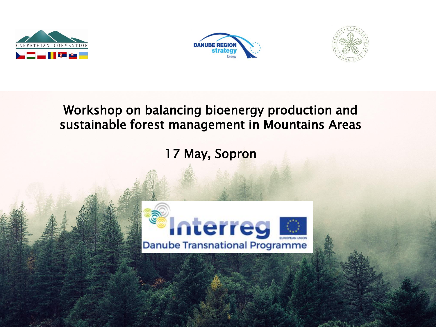





#### Workshop on balancing bioenergy production and sustainable forest management in Mountains Areas

17 May, Sopron

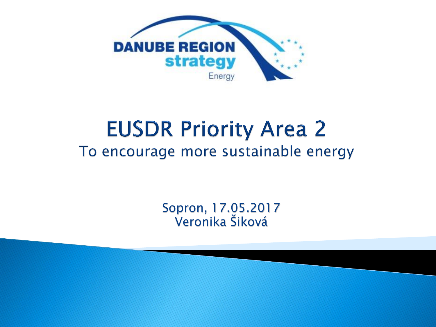

## **EUSDR Priority Area 2** To encourage more sustainable energy

Sopron, 17.05.2017 Veronika Šiková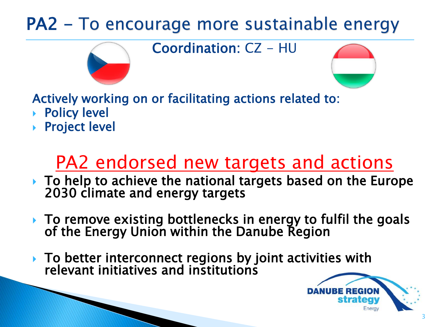### PA2 - To encourage more sustainable energy

Coordination: CZ - HU



Actively working on or facilitating actions related to:

- Policy level
- Project level

## PA2 endorsed new targets and actions

- ▶ To help to achieve the national targets based on the Europe 2030 climate and energy targets
- ▶ To remove existing bottlenecks in energy to fulfil the goals of the Energy Union within the Danube Region
- ▶ To better interconnect regions by joint activities with relevant initiatives and institutions

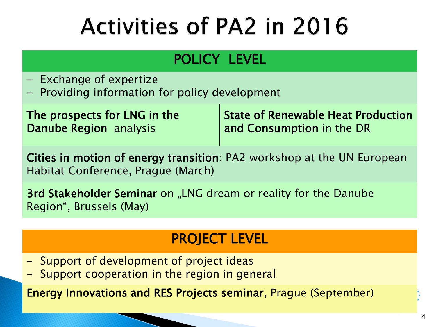# **Activities of PA2 in 2016**

### POLICY LEVEL

- Exchange of expertize
- Providing information for policy development

| The prospects for LNG in the | State of Renewable Heat Production |
|------------------------------|------------------------------------|
| Danube Region analysis       | and Consumption in the DR          |

Cities in motion of energy transition: PA2 workshop at the UN European Habitat Conference, Prague (March)

3rd Stakeholder Seminar on "LNG dream or reality for the Danube Region", Brussels (May)

### PROJECT LEVEL

- Support of development of project ideas
- Support cooperation in the region in general

Energy Innovations and RES Projects seminar, Prague (September)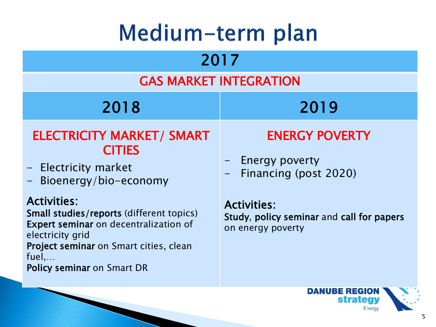## Medium-term plan

| 2017                                                                                                                                                                                                                                |                                                                                      |  |
|-------------------------------------------------------------------------------------------------------------------------------------------------------------------------------------------------------------------------------------|--------------------------------------------------------------------------------------|--|
| <b>GAS MARKET INTEGRATION</b>                                                                                                                                                                                                       |                                                                                      |  |
| 2018                                                                                                                                                                                                                                | 2019                                                                                 |  |
| <b>ELECTRICITY MARKET/ SMART</b><br><b>CITIES</b><br>- Electricity market<br>- Bioenergy/bio-economy                                                                                                                                | <b>ENERGY POVERTY</b><br>- Energy poverty<br>Financing (post 2020)                   |  |
| <b>Activities:</b><br>Small studies/reports (different topics)<br><b>Expert seminar</b> on decentralization of<br>electricity grid<br>Project seminar on Smart cities, clean<br>$fuel, \ldots$<br><b>Policy seminar on Smart DR</b> | <b>Activities:</b><br>Study, policy seminar and call for papers<br>on energy poverty |  |